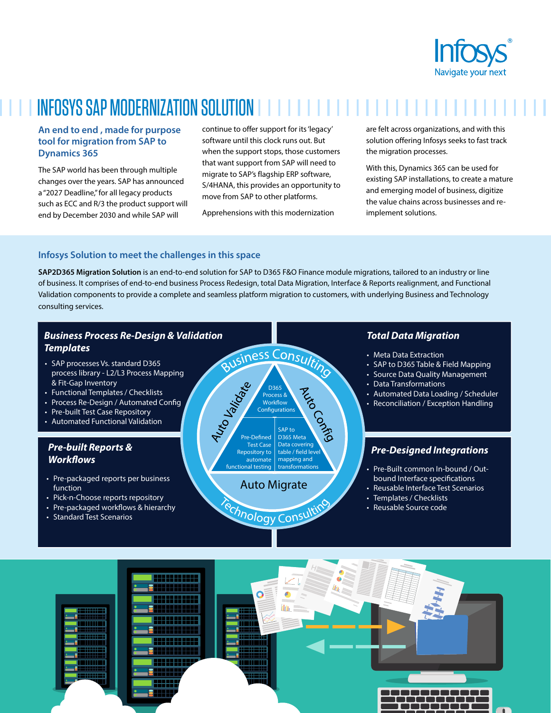

# INFOSYS SAP MODERNIZATION SOLUTION

#### **An end to end , made for purpose tool for migration from SAP to Dynamics 365**

The SAP world has been through multiple changes over the years. SAP has announced a "2027 Deadline," for all legacy products such as ECC and R/3 the product support will end by December 2030 and while SAP will

continue to offer support for its 'legacy' software until this clock runs out. But when the support stops, those customers that want support from SAP will need to migrate to SAP's flagship ERP software, S/4HANA, this provides an opportunity to move from SAP to other platforms.

Apprehensions with this modernization

are felt across organizations, and with this solution offering Infosys seeks to fast track the migration processes.

With this, Dynamics 365 can be used for existing SAP installations, to create a mature and emerging model of business, digitize the value chains across businesses and reimplement solutions.

#### **Infosys Solution to meet the challenges in this space**

**SAP2D365 Migration Solution** is an end-to-end solution for SAP to D365 F&O Finance module migrations, tailored to an industry or line of business. It comprises of end-to-end business Process Redesign, total Data Migration, Interface & Reports realignment, and Functional Validation components to provide a complete and seamless platform migration to customers, with underlying Business and Technology consulting services.

### *Business Process Re-Design & Validation Templates*

- SAP processes Vs. standard D365 process library - L2/L3 Process Mapping & Fit-Gap Inventory
- Functional Templates/ Checklists
- Process Re-Design / Automated Config
- Pre-built Test Case Repository
- Automated Functional Validation

### *Pre-built Reports &* **Workflows**

- Pre-packaged reports per business function
- Pick-n-Choose reports repository
- Pre-packaged workflows & hierarchy
- Standard Test Scenarios

usiness Consulting **Siebel Configurations**<br>
The Defined D365 Meta<br>
Test Case Data covering D365 Process & Workflow Configurations SAP to D365 Meta Pre-Defined **Test Case** Data covering<br>Repository to table / field let Test Case table / field level Repository to mapping and automate transformation functional testing

## Auto Migrate

echnology Consultit

#### *Total Data Migration*

- Meta Data Extraction
- SAP to D365 Table & Field Mapping
- Source Data Quality Management
- Data Transformations
- Automated Data Loading / Scheduler
- Reconciliation / Exception Handling

### *Pre-Designed Integrations*

- Pre-Built common In-bound / Outbound Interface specifications
- Reusable Interface Test Scenarios
- Templates/ Checklists
- Reusable Source code